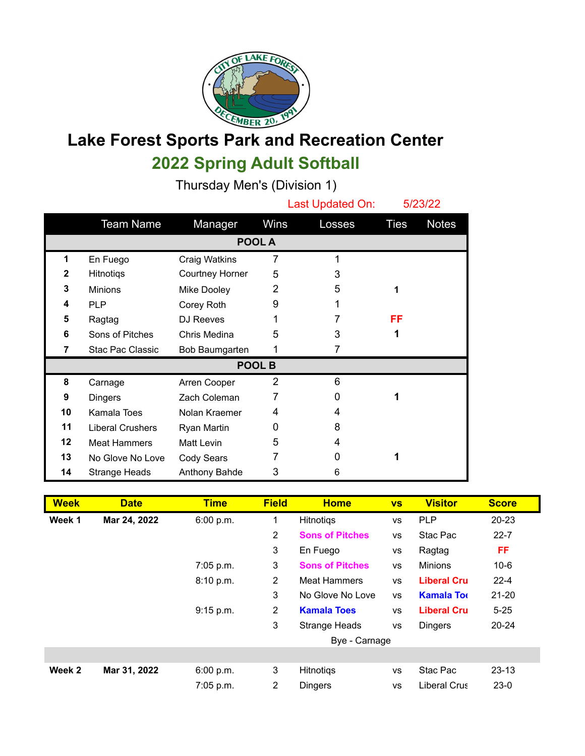

## **Lake Forest Sports Park and Recreation Center 2022 Spring Adult Softball**

Thursday Men's (Division 1)

|               |                         |                 |                | Last Updated On: |             | 5/23/22      |  |  |  |
|---------------|-------------------------|-----------------|----------------|------------------|-------------|--------------|--|--|--|
|               | <b>Team Name</b>        | Manager         | Wins           | Losses           | <b>Ties</b> | <b>Notes</b> |  |  |  |
| POOL A        |                         |                 |                |                  |             |              |  |  |  |
| 1             | En Fuego                | Craig Watkins   | 7              | 1                |             |              |  |  |  |
| $\mathbf{2}$  | Hitnotiqs               | Courtney Horner | 5              | 3                |             |              |  |  |  |
| 3             | <b>Minions</b>          | Mike Dooley     | 2              | 5                | 1           |              |  |  |  |
| 4             | <b>PLP</b>              | Corey Roth      | 9              |                  |             |              |  |  |  |
| 5             | Ragtag                  | DJ Reeves       | 1              | 7                | FF          |              |  |  |  |
| 6             | Sons of Pitches         | Chris Medina    | 5              | 3                | 1           |              |  |  |  |
| 7             | Stac Pac Classic        | Bob Baumgarten  | 1              | 7                |             |              |  |  |  |
| <b>POOL B</b> |                         |                 |                |                  |             |              |  |  |  |
| 8             | Carnage                 | Arren Cooper    | $\overline{2}$ | 6                |             |              |  |  |  |
| 9             | <b>Dingers</b>          | Zach Coleman    | 7              | O                |             |              |  |  |  |
| 10            | Kamala Toes             | Nolan Kraemer   | 4              | 4                |             |              |  |  |  |
| 11            | <b>Liberal Crushers</b> | Ryan Martin     | 0              | 8                |             |              |  |  |  |
| 12            | <b>Meat Hammers</b>     | Matt Levin      | 5              | 4                |             |              |  |  |  |
| 13            | No Glove No Love        | Cody Sears      |                | O                |             |              |  |  |  |
| 14            | <b>Strange Heads</b>    | Anthony Bahde   | 3              | 6                |             |              |  |  |  |

| <b>Week</b> | <b>Date</b>  | <b>Time</b> | <b>Field</b>   | <b>Home</b>                                 | <b>VS</b> | <b>Visitor</b>     | <b>Score</b> |
|-------------|--------------|-------------|----------------|---------------------------------------------|-----------|--------------------|--------------|
| Week 1      | Mar 24, 2022 | 6:00 p.m.   | 1              | <b>PLP</b><br><b>Hitnotigs</b><br><b>VS</b> |           |                    | 20-23        |
|             |              |             | $\overline{2}$ | <b>Sons of Pitches</b>                      | <b>VS</b> | Stac Pac           | $22 - 7$     |
|             |              |             | 3              | En Fuego                                    | VS        | Ragtag             | FF           |
|             |              | 7:05 p.m.   | 3              | <b>Sons of Pitches</b>                      | <b>VS</b> | <b>Minions</b>     | $10-6$       |
|             |              | 8:10 p.m.   | 2              | <b>Meat Hammers</b>                         | <b>VS</b> | <b>Liberal Cru</b> | $22 - 4$     |
|             |              |             | 3              | No Glove No Love                            | <b>VS</b> | <b>Kamala Tor</b>  | $21 - 20$    |
|             |              | 9:15 p.m.   | 2              | <b>Kamala Toes</b>                          | <b>VS</b> | <b>Liberal Cru</b> | $5 - 25$     |
|             |              |             | 3              | <b>Strange Heads</b>                        | <b>VS</b> | <b>Dingers</b>     | $20 - 24$    |
|             |              |             |                | Bye - Carnage                               |           |                    |              |
|             |              |             |                |                                             |           |                    |              |
| Week 2      | Mar 31, 2022 | 6:00 p.m.   | 3              | <b>Hitnotigs</b>                            | <b>VS</b> | Stac Pac           | $23 - 13$    |
|             |              | 7:05 p.m.   | 2              | <b>Dingers</b>                              | <b>VS</b> | Liberal Crus       | $23-0$       |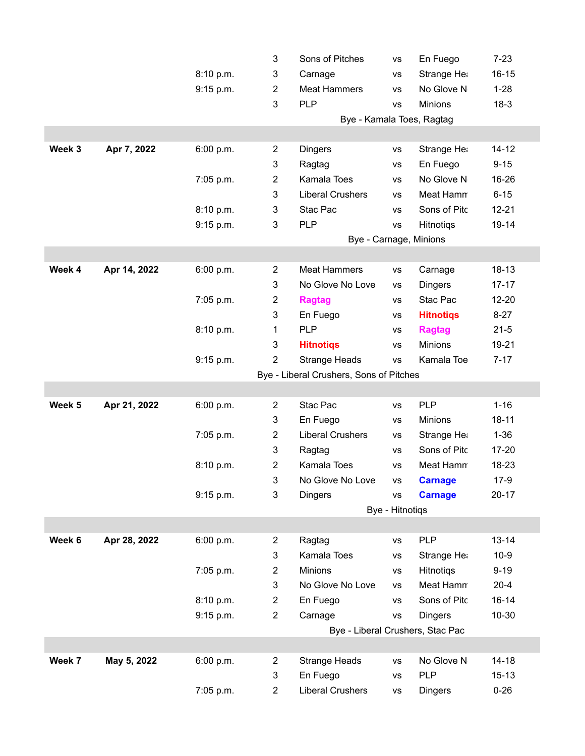|                   |              |           | 3                                       | Sons of Pitches         | <b>VS</b> | En Fuego                         | $7 - 23$  |  |  |
|-------------------|--------------|-----------|-----------------------------------------|-------------------------|-----------|----------------------------------|-----------|--|--|
|                   |              | 8:10 p.m. | 3                                       | Carnage                 | VS        | Strange He                       | $16 - 15$ |  |  |
|                   |              | 9:15 p.m. | $\boldsymbol{2}$                        | <b>Meat Hammers</b>     | <b>VS</b> | No Glove N                       | $1 - 28$  |  |  |
|                   |              |           | 3                                       | <b>PLP</b>              | VS        | Minions                          | $18-3$    |  |  |
|                   |              |           | Bye - Kamala Toes, Ragtag               |                         |           |                                  |           |  |  |
|                   |              |           |                                         |                         |           |                                  |           |  |  |
| Week 3            | Apr 7, 2022  | 6:00 p.m. | $\overline{2}$                          | <b>Dingers</b>          | <b>VS</b> | Strange He                       | $14 - 12$ |  |  |
|                   |              |           | 3                                       | Ragtag                  | VS        | En Fuego                         | $9 - 15$  |  |  |
|                   |              | 7:05 p.m. | $\boldsymbol{2}$                        | Kamala Toes             | VS        | No Glove N                       | 16-26     |  |  |
|                   |              |           | 3                                       | <b>Liberal Crushers</b> | VS        | Meat Hamn                        | $6 - 15$  |  |  |
|                   |              | 8:10 p.m. | 3                                       | Stac Pac                | VS        | Sons of Pitc                     | $12 - 21$ |  |  |
|                   |              | 9:15 p.m. | 3                                       | <b>PLP</b>              | <b>VS</b> | Hitnotiqs                        | 19-14     |  |  |
|                   |              |           |                                         | Bye - Carnage, Minions  |           |                                  |           |  |  |
|                   |              |           |                                         |                         |           |                                  |           |  |  |
| Week 4            | Apr 14, 2022 | 6:00 p.m. | $\overline{2}$                          | <b>Meat Hammers</b>     | <b>VS</b> | Carnage                          | $18 - 13$ |  |  |
|                   |              |           | 3                                       | No Glove No Love        | VS        | <b>Dingers</b>                   | $17 - 17$ |  |  |
|                   |              | 7:05 p.m. | $\overline{c}$                          | <b>Ragtag</b>           | VS        | Stac Pac                         | 12-20     |  |  |
|                   |              |           | 3                                       | En Fuego                | VS        | <b>Hitnotigs</b>                 | $8 - 27$  |  |  |
|                   |              | 8:10 p.m. | 1                                       | <b>PLP</b>              | VS        | <b>Ragtag</b>                    | $21 - 5$  |  |  |
|                   |              |           | 3                                       | <b>Hitnotiqs</b>        | VS        | <b>Minions</b>                   | 19-21     |  |  |
|                   |              | 9:15 p.m. | $\overline{2}$                          | <b>Strange Heads</b>    | <b>VS</b> | Kamala Toe                       | $7 - 17$  |  |  |
|                   |              |           | Bye - Liberal Crushers, Sons of Pitches |                         |           |                                  |           |  |  |
|                   |              |           |                                         |                         |           |                                  |           |  |  |
| Week <sub>5</sub> | Apr 21, 2022 | 6:00 p.m. | $\overline{2}$                          | Stac Pac                | VS        | <b>PLP</b>                       | $1 - 16$  |  |  |
|                   |              |           | 3                                       | En Fuego                | <b>VS</b> | Minions                          | $18 - 11$ |  |  |
|                   |              | 7:05 p.m. | $\boldsymbol{2}$                        | <b>Liberal Crushers</b> | VS        | Strange He                       | $1 - 36$  |  |  |
|                   |              |           | 3                                       | Ragtag                  | VS        | Sons of Pitc                     | 17-20     |  |  |
|                   |              | 8:10 p.m. | $\overline{2}$                          | Kamala Toes             | VS        | Meat Hamn                        | 18-23     |  |  |
|                   |              |           | 3                                       | No Glove No Love        | <b>VS</b> | <b>Carnage</b>                   | $17-9$    |  |  |
|                   |              | 9:15 p.m. | 3                                       | <b>Dingers</b>          | <b>VS</b> | <b>Carnage</b>                   | $20 - 17$ |  |  |
|                   |              |           |                                         | Bye - Hitnotigs         |           |                                  |           |  |  |
|                   |              |           |                                         |                         |           |                                  |           |  |  |
| Week 6            | Apr 28, 2022 | 6:00 p.m. | $\overline{c}$                          | Ragtag                  | <b>VS</b> | <b>PLP</b>                       | $13 - 14$ |  |  |
|                   |              |           | 3                                       | Kamala Toes             | VS        | Strange He                       | $10-9$    |  |  |
|                   |              | 7:05 p.m. | 2                                       | <b>Minions</b>          | VS        | Hitnotigs                        | $9 - 19$  |  |  |
|                   |              |           | 3                                       | No Glove No Love        | VS        | Meat Hamn                        | $20 - 4$  |  |  |
|                   |              | 8:10 p.m. | $\overline{c}$                          | En Fuego                | <b>VS</b> | Sons of Pitc                     | $16 - 14$ |  |  |
|                   |              | 9:15 p.m. | $\overline{2}$                          | Carnage                 | <b>VS</b> | <b>Dingers</b>                   | 10-30     |  |  |
|                   |              |           |                                         |                         |           | Bye - Liberal Crushers, Stac Pac |           |  |  |
|                   |              |           |                                         |                         |           |                                  |           |  |  |
| Week 7            | May 5, 2022  | 6:00 p.m. | $\overline{2}$                          | <b>Strange Heads</b>    | <b>VS</b> | No Glove N                       | $14 - 18$ |  |  |
|                   |              |           | 3                                       | En Fuego                | VS        | <b>PLP</b>                       | $15 - 13$ |  |  |
|                   |              | 7:05 p.m. | 2                                       | <b>Liberal Crushers</b> | <b>VS</b> | <b>Dingers</b>                   | $0 - 26$  |  |  |